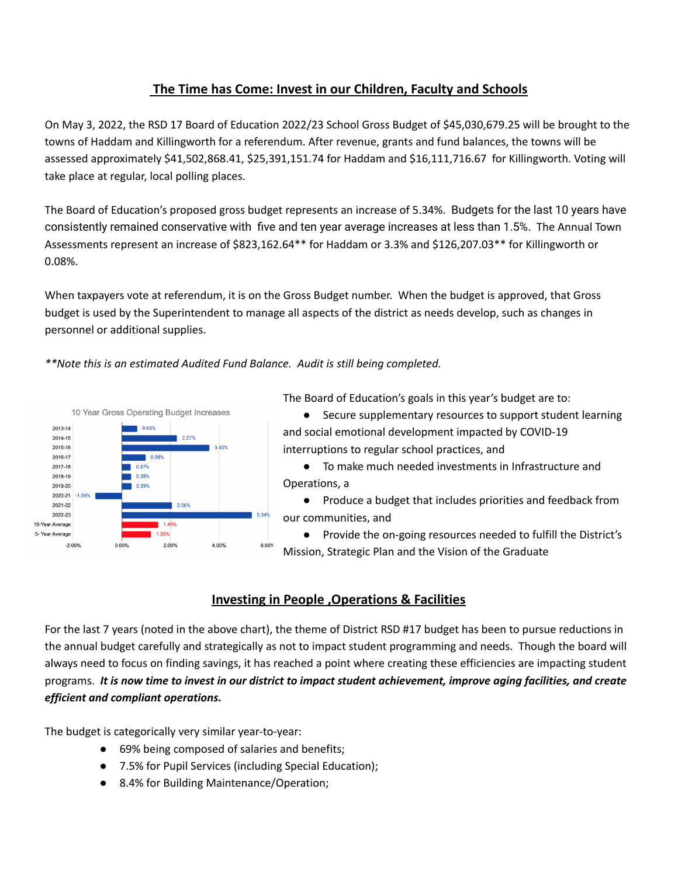# **The Time has Come: Invest in our Children, Faculty and Schools**

On May 3, 2022, the RSD 17 Board of Education 2022/23 School Gross Budget of \$45,030,679.25 will be brought to the towns of Haddam and Killingworth for a referendum. After revenue, grants and fund balances, the towns will be assessed approximately \$41,502,868.41, \$25,391,151.74 for Haddam and \$16,111,716.67 for Killingworth. Voting will take place at regular, local polling places.

The Board of Education's proposed gross budget represents an increase of 5.34%. Budgets for the last 10 years have consistently remained conservative with five and ten year average increases at less than 1.5%. The Annual Town Assessments represent an increase of \$823,162.64\*\* for Haddam or 3.3% and \$126,207.03\*\* for Killingworth or 0.08%.

When taxpayers vote at referendum, it is on the Gross Budget number. When the budget is approved, that Gross budget is used by the Superintendent to manage all aspects of the district as needs develop, such as changes in personnel or additional supplies.

*\*\*Note this is an estimated Audited Fund Balance. Audit is still being completed.*



The Board of Education's goals in this year's budget are to:

● Secure supplementary resources to support student learning and social emotional development impacted by COVID-19 interruptions to regular school practices, and

● To make much needed investments in Infrastructure and Operations, a

● Produce a budget that includes priorities and feedback from our communities, and

Provide the on-going resources needed to fulfill the District's Mission, Strategic Plan and the Vision of the Graduate

# **Investing in People ,Operations & Facilities**

For the last 7 years (noted in the above chart), the theme of District RSD #17 budget has been to pursue reductions in the annual budget carefully and strategically as not to impact student programming and needs. Though the board will always need to focus on finding savings, it has reached a point where creating these efficiencies are impacting student programs. It is now time to invest in our district to impact student achievement, improve aging facilities, and create *efficient and compliant operations.*

The budget is categorically very similar year-to-year:

- 69% being composed of salaries and benefits;
- 7.5% for Pupil Services (including Special Education);
- 8.4% for Building Maintenance/Operation;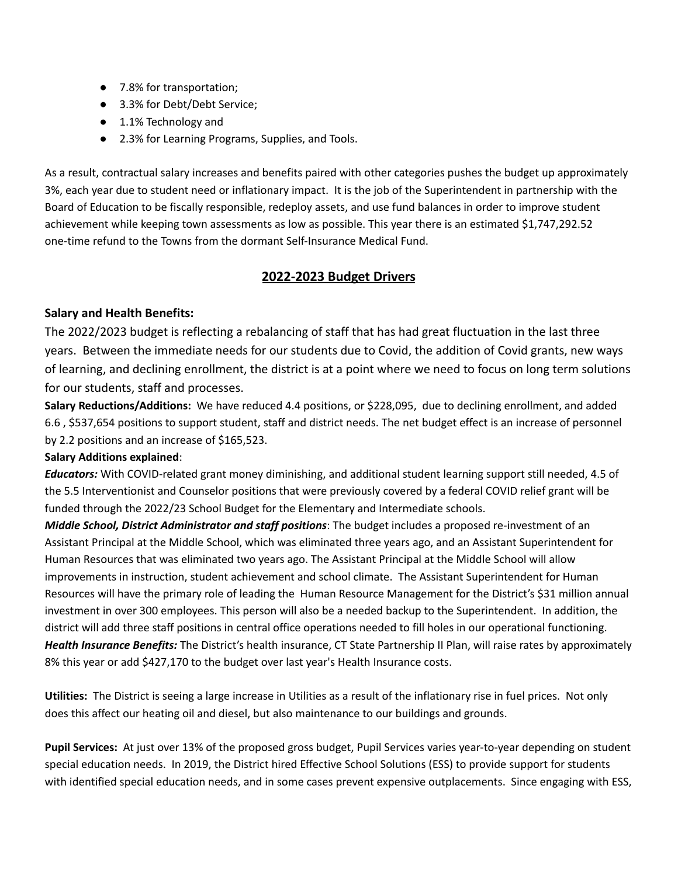- 7.8% for transportation;
- 3.3% for Debt/Debt Service;
- 1.1% Technology and
- 2.3% for Learning Programs, Supplies, and Tools.

As a result, contractual salary increases and benefits paired with other categories pushes the budget up approximately 3%, each year due to student need or inflationary impact. It is the job of the Superintendent in partnership with the Board of Education to be fiscally responsible, redeploy assets, and use fund balances in order to improve student achievement while keeping town assessments as low as possible. This year there is an estimated \$1,747,292.52 one-time refund to the Towns from the dormant Self-Insurance Medical Fund.

## **2022-2023 Budget Drivers**

### **Salary and Health Benefits:**

The 2022/2023 budget is reflecting a rebalancing of staff that has had great fluctuation in the last three years. Between the immediate needs for our students due to Covid, the addition of Covid grants, new ways of learning, and declining enrollment, the district is at a point where we need to focus on long term solutions for our students, staff and processes.

**Salary Reductions/Additions:** We have reduced 4.4 positions, or \$228,095, due to declining enrollment, and added 6.6 , \$537,654 positions to support student, staff and district needs. The net budget effect is an increase of personnel by 2.2 positions and an increase of \$165,523.

### **Salary Additions explained**:

*Educators:* With COVID-related grant money diminishing, and additional student learning support still needed, 4.5 of the 5.5 Interventionist and Counselor positions that were previously covered by a federal COVID relief grant will be funded through the 2022/23 School Budget for the Elementary and Intermediate schools.

*Middle School, District Administrator and staff positions*: The budget includes a proposed re-investment of an Assistant Principal at the Middle School, which was eliminated three years ago, and an Assistant Superintendent for Human Resources that was eliminated two years ago. The Assistant Principal at the Middle School will allow improvements in instruction, student achievement and school climate. The Assistant Superintendent for Human Resources will have the primary role of leading the Human Resource Management for the District's \$31 million annual investment in over 300 employees. This person will also be a needed backup to the Superintendent. In addition, the district will add three staff positions in central office operations needed to fill holes in our operational functioning. *Health Insurance Benefits:* The District's health insurance, CT State Partnership II Plan, will raise rates by approximately 8% this year or add \$427,170 to the budget over last year's Health Insurance costs.

**Utilities:** The District is seeing a large increase in Utilities as a result of the inflationary rise in fuel prices. Not only does this affect our heating oil and diesel, but also maintenance to our buildings and grounds.

**Pupil Services:** At just over 13% of the proposed gross budget, Pupil Services varies year-to-year depending on student special education needs. In 2019, the District hired Effective School Solutions (ESS) to provide support for students with identified special education needs, and in some cases prevent expensive outplacements. Since engaging with ESS,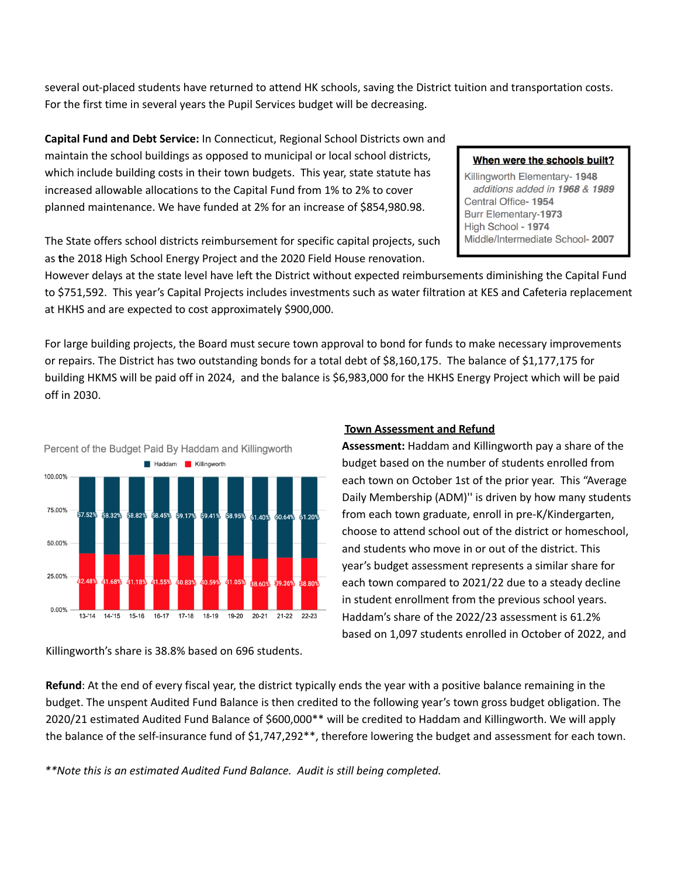several out-placed students have returned to attend HK schools, saving the District tuition and transportation costs. For the first time in several years the Pupil Services budget will be decreasing.

**Capital Fund and Debt Service:** In Connecticut, Regional School Districts own and maintain the school buildings as opposed to municipal or local school districts, which include building costs in their town budgets. This year, state statute has increased allowable allocations to the Capital Fund from 1% to 2% to cover planned maintenance. We have funded at 2% for an increase of \$854,980.98.

#### When were the schools built?

Killingworth Elementary- 1948 additions added in 1968 & 1989 Central Office-1954 Burr Elementary-1973 High School - 1974 Middle/Intermediate School- 2007

The State offers school districts reimbursement for specific capital projects, such as **t**he 2018 High School Energy Project and the 2020 Field House renovation.

However delays at the state level have left the District without expected reimbursements diminishing the Capital Fund to \$751,592. This year's Capital Projects includes investments such as water filtration at KES and Cafeteria replacement at HKHS and are expected to cost approximately \$900,000.

For large building projects, the Board must secure town approval to bond for funds to make necessary improvements or repairs. The District has two outstanding bonds for a total debt of \$8,160,175. The balance of \$1,177,175 for building HKMS will be paid off in 2024, and the balance is \$6,983,000 for the HKHS Energy Project which will be paid off in 2030.



### Killingworth's share is 38.8% based on 696 students.

#### **Town Assessment and Refund**

**Assessment:** Haddam and Killingworth pay a share of the budget based on the number of students enrolled from each town on October 1st of the prior year. This "Average Daily Membership (ADM)'' is driven by how many students from each town graduate, enroll in pre-K/Kindergarten, choose to attend school out of the district or homeschool, and students who move in or out of the district. This year's budget assessment represents a similar share for each town compared to 2021/22 due to a steady decline in student enrollment from the previous school years. Haddam's share of the 2022/23 assessment is 61.2% based on 1,097 students enrolled in October of 2022, and

**Refund**: At the end of every fiscal year, the district typically ends the year with a positive balance remaining in the budget. The unspent Audited Fund Balance is then credited to the following year's town gross budget obligation. The 2020/21 estimated Audited Fund Balance of \$600,000\*\* will be credited to Haddam and Killingworth. We will apply the balance of the self-insurance fund of \$1,747,292\*\*, therefore lowering the budget and assessment for each town.

*\*\*Note this is an estimated Audited Fund Balance. Audit is still being completed.*